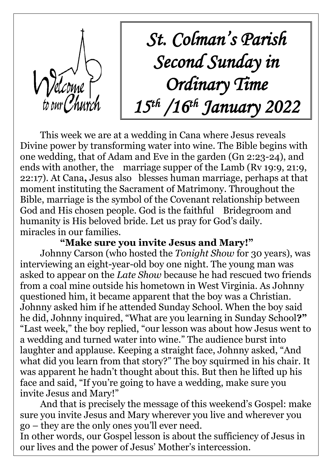

*St. Colman's Parish Second Sunday in Ordinary Time 15th /16th January 2022*

This week we are at a wedding in Cana where Jesus reveals Divine power by transforming water into wine. The Bible begins with one wedding, that of Adam and Eve in the garden (Gn 2:23-24), and ends with another, the marriage supper of the Lamb (Rv 19:9, 21:9, 22:17). At Cana**,** Jesus also blesses human marriage, perhaps at that moment instituting the Sacrament of Matrimony. Throughout the Bible, marriage is the symbol of the Covenant relationship between God and His chosen people. God is the faithful Bridegroom and humanity is His beloved bride. Let us pray for God's daily. miracles in our families.

## **"Make sure you invite Jesus and Mary!"**

Johnny Carson (who hosted the *Tonight Show* for 30 years), was interviewing an eight-year-old boy one night. The young man was asked to appear on the *Late Show* because he had rescued two friends from a coal mine outside his hometown in West Virginia. As Johnny questioned him, it became apparent that the boy was a Christian. Johnny asked him if he attended Sunday School. When the boy said he did, Johnny inquired, "What are you learning in Sunday School**?"**  "Last week," the boy replied, "our lesson was about how Jesus went to a wedding and turned water into wine." The audience burst into laughter and applause. Keeping a straight face, Johnny asked, "And what did you learn from that story?" The boy squirmed in his chair. It was apparent he hadn't thought about this. But then he lifted up his face and said, "If you're going to have a wedding, make sure you invite Jesus and Mary!"

And that is precisely the message of this weekend's Gospel: make sure you invite Jesus and Mary wherever you live and wherever you go – they are the only ones you'll ever need.

In other words, our Gospel lesson is about the sufficiency of Jesus in our lives and the power of Jesus' Mother's intercession.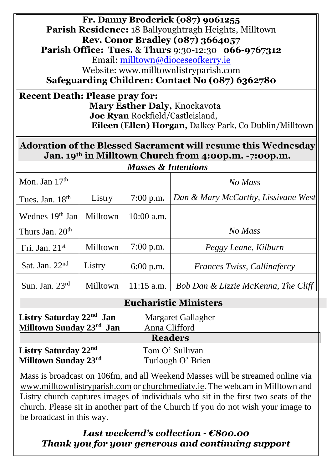**Fr. Danny Broderick (087) 9061255 Parish Residence:** 18 Ballyoughtragh Heights, Milltown **Rev. Conor Bradley (087) 3664057 Parish Office: Tues.** & **Thurs** 9:30-12:30 **066-9767312** Email: [milltown@dioceseofkerry.ie](mailto:milltown@dioceseofkerry.ie) Website: www.milltownlistryparish.com **Safeguarding Children: Contact No (087) 6362780**

**Recent Death: Please pray for: Mary Esther Daly,** Knockavota **Joe Ryan** Rockfield/Castleisland,  **Eileen** (**Ellen) Horgan,** Dalkey Park, Co Dublin/Milltown

# **Adoration of the Blessed Sacrament will resume this Wednesday Jan. 19th in Milltown Church from 4:00p.m. -7:00p.m.**

| <b>Masses &amp; Intentions</b> |          |              |                                     |  |  |
|--------------------------------|----------|--------------|-------------------------------------|--|--|
| Mon. Jan $17th$                |          |              | No Mass                             |  |  |
| Tues. Jan. 18 <sup>th</sup>    | Listry   | $7:00$ p.m.  | Dan & Mary McCarthy, Lissivane West |  |  |
| Wednes 19 <sup>th</sup> Jan    | Milltown | $10:00$ a.m. |                                     |  |  |
| Thurs Jan. $20th$              |          |              | No Mass                             |  |  |
| Fri. Jan. $21st$               | Milltown | $7:00$ p.m.  | Peggy Leane, Kilburn                |  |  |
| Sat. Jan. $22nd$               | Listry   | $6:00$ p.m.  | <b>Frances Twiss, Callingfercy</b>  |  |  |
| Sun. Jan. $23rd$               | Milltown | $11:15$ a.m. | Bob Dan & Lizzie McKenna, The Cliff |  |  |

| <b>Eucharistic Ministers</b>         |                    |  |  |  |
|--------------------------------------|--------------------|--|--|--|
| Listry Saturday 22 <sup>nd</sup> Jan | Margaret Gallagher |  |  |  |
| Milltown Sunday 23rd Jan             | Anna Clifford      |  |  |  |
|                                      | <b>Readers</b>     |  |  |  |
| Listry Saturday 22 <sup>nd</sup>     | Tom O' Sullivan    |  |  |  |
| Milltown Sunday 23rd                 | Turlough O' Brien  |  |  |  |

Mass is broadcast on 106fm, and all Weekend Masses will be streamed online via [www.milltownlistryparish.com](http://www.milltownlistryparish.com/) or churchmediatv.ie. The webcam in Milltown and Listry church captures images of individuals who sit in the first two seats of the church. Please sit in another part of the Church if you do not wish your image to be broadcast in this way.

# *Last weekend's collection - €800.00 Thank you for your generous and continuing support*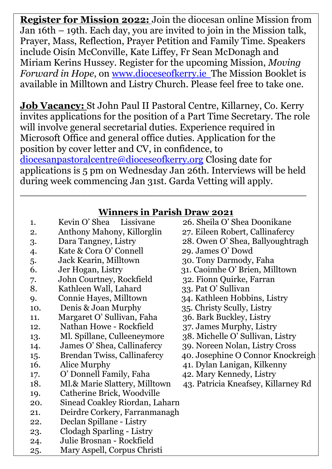**Register for Mission 2022:** Join the diocesan online Mission from Jan 16th – 19th. Each day, you are invited to join in the Mission talk, Prayer, Mass, Reflection, Prayer Petition and Family Time. Speakers include Oisín McConville, Kate Liffey, Fr Sean McDonagh and Miriam Kerins Hussey. Register for the upcoming Mission, *Moving Forward in Hope*, on [www.dioceseofkerry.ie](http://www.dioceseofkerry.ie/) The Mission Booklet is available in Milltown and Listry Church. Please feel free to take one.

**Job Vacancy:** St John Paul II Pastoral Centre, Killarney, Co. Kerry invites applications for the position of a Part Time Secretary. The role will involve general secretarial duties. Experience required in Microsoft Office and general office duties. Application for the position by cover letter and CV, in confidence, to [diocesanpastoralcentre@dioceseofkerry.org](mailto:diocesanpastoralcentre@dioceseofkerry.org) Closing date for applications is 5 pm on Wednesday Jan 26th. Interviews will be held during week commencing Jan 31st. Garda Vetting will apply.

 $\_$  . The contract of the contract of the contract of the contract of the contract of the contract of the contract of the contract of the contract of the contract of the contract of the contract of the contract of the con

**Winners in Parish Draw 2021**

| 1.  | Kevin O' Shea<br>Lissivane         | 26. Sheila O' Shea Doonikane        |
|-----|------------------------------------|-------------------------------------|
| 2.  | Anthony Mahony, Killorglin         | 27. Eileen Robert, Callinafercy     |
| 3.  | Dara Tangney, Listry               | 28. Owen O' Shea, Ballyoughtragh    |
| 4.  | Kate & Cora O' Connell             | 29. James O' Dowd                   |
| 5.  | Jack Kearin, Milltown              | 30. Tony Darmody, Faha              |
| 6.  | Jer Hogan, Listry                  | 31. Caoimhe O' Brien, Milltown      |
| 7.  | John Courtney, Rockfield           | 32. Fionn Quirke, Farran            |
| 8.  | Kathleen Wall, Lahard              | 33. Pat O' Sullivan                 |
| 9.  | Connie Hayes, Milltown             | 34. Kathleen Hobbins, Listry        |
| 10. | Denis & Joan Murphy                | 35. Christy Scully, Listry          |
| 11. | Margaret O' Sullivan, Faha         | 36. Bark Buckley, Listry            |
| 12. | Nathan Howe - Rockfield            | 37. James Murphy, Listry            |
| 13. | Ml. Spillane, Culleeneymore        | 38. Michelle O' Sullivan, Listry    |
| 14. | James O' Shea, Callinafercy        | 39. Noreen Nolan, Listry Cross      |
| 15. | <b>Brendan Twiss, Callinafercy</b> | 40. Josephine O Connor Knockreigh   |
| 16. | Alice Murphy                       | 41. Dylan Lanigan, Kilkenny         |
| 17. | O' Donnell Family, Faha            | 42. Mary Kennedy, Listry            |
| 18. | Ml.& Marie Slattery, Milltown      | 43. Patricia Kneafsey, Killarney Rd |
| 19. | Catherine Brick, Woodville         |                                     |
| 20. | Sinead Coakley Riordan, Laharn     |                                     |
| 21. | Deirdre Corkery, Farranmanagh      |                                     |
| 22. | Declan Spillane - Listry           |                                     |
| 23. | Clodagh Sparling - Listry          |                                     |
| 24. | Julie Brosnan - Rockfield          |                                     |
| 25. | Mary Aspell, Corpus Christi        |                                     |
|     |                                    |                                     |